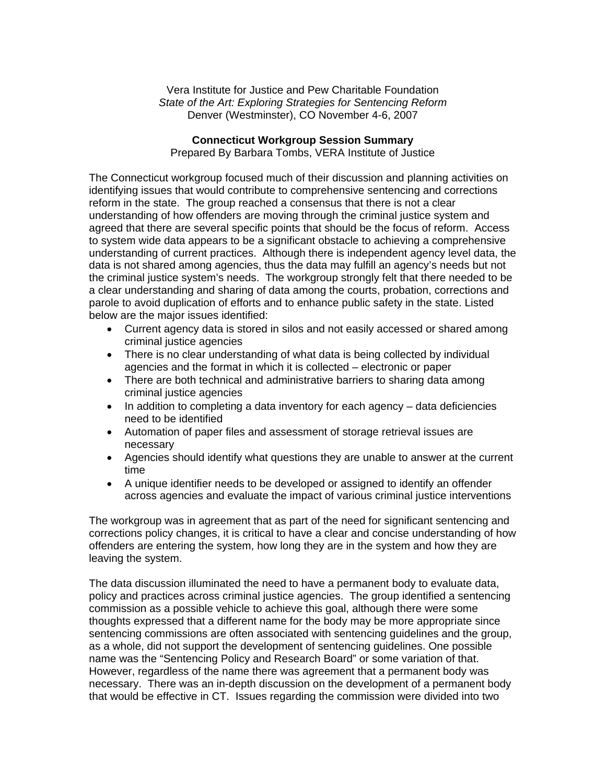Vera Institute for Justice and Pew Charitable Foundation *State of the Art: Exploring Strategies for Sentencing Reform*  Denver (Westminster), CO November 4-6, 2007

## **Connecticut Workgroup Session Summary**

Prepared By Barbara Tombs, VERA Institute of Justice

The Connecticut workgroup focused much of their discussion and planning activities on identifying issues that would contribute to comprehensive sentencing and corrections reform in the state. The group reached a consensus that there is not a clear understanding of how offenders are moving through the criminal justice system and agreed that there are several specific points that should be the focus of reform. Access to system wide data appears to be a significant obstacle to achieving a comprehensive understanding of current practices. Although there is independent agency level data, the data is not shared among agencies, thus the data may fulfill an agency's needs but not the criminal justice system's needs. The workgroup strongly felt that there needed to be a clear understanding and sharing of data among the courts, probation, corrections and parole to avoid duplication of efforts and to enhance public safety in the state. Listed below are the major issues identified:

- Current agency data is stored in silos and not easily accessed or shared among criminal justice agencies
- There is no clear understanding of what data is being collected by individual agencies and the format in which it is collected – electronic or paper
- There are both technical and administrative barriers to sharing data among criminal justice agencies
- In addition to completing a data inventory for each agency data deficiencies need to be identified
- Automation of paper files and assessment of storage retrieval issues are necessary
- Agencies should identify what questions they are unable to answer at the current time
- A unique identifier needs to be developed or assigned to identify an offender across agencies and evaluate the impact of various criminal justice interventions

The workgroup was in agreement that as part of the need for significant sentencing and corrections policy changes, it is critical to have a clear and concise understanding of how offenders are entering the system, how long they are in the system and how they are leaving the system.

The data discussion illuminated the need to have a permanent body to evaluate data, policy and practices across criminal justice agencies. The group identified a sentencing commission as a possible vehicle to achieve this goal, although there were some thoughts expressed that a different name for the body may be more appropriate since sentencing commissions are often associated with sentencing guidelines and the group, as a whole, did not support the development of sentencing guidelines. One possible name was the "Sentencing Policy and Research Board" or some variation of that. However, regardless of the name there was agreement that a permanent body was necessary. There was an in-depth discussion on the development of a permanent body that would be effective in CT. Issues regarding the commission were divided into two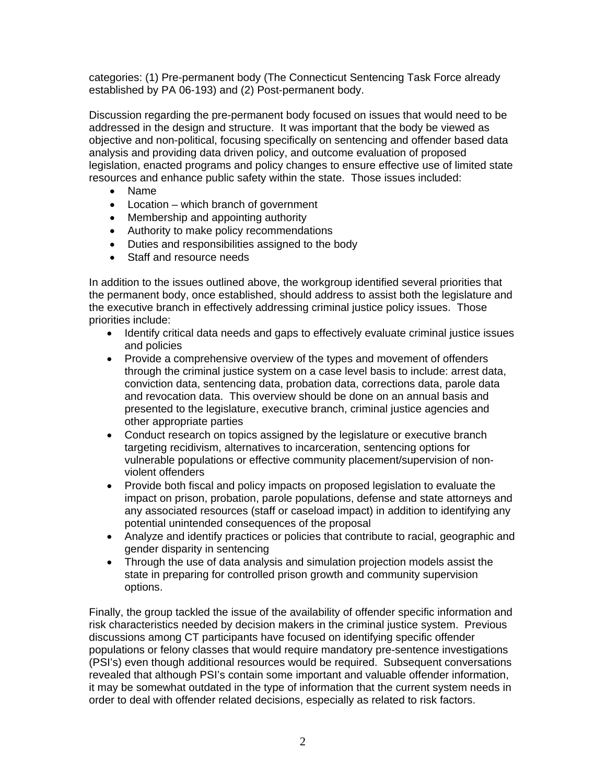categories: (1) Pre-permanent body (The Connecticut Sentencing Task Force already established by PA 06-193) and (2) Post-permanent body.

Discussion regarding the pre-permanent body focused on issues that would need to be addressed in the design and structure. It was important that the body be viewed as objective and non-political, focusing specifically on sentencing and offender based data analysis and providing data driven policy, and outcome evaluation of proposed legislation, enacted programs and policy changes to ensure effective use of limited state resources and enhance public safety within the state. Those issues included:

- Name
- Location which branch of government
- Membership and appointing authority
- Authority to make policy recommendations
- Duties and responsibilities assigned to the body
- Staff and resource needs

In addition to the issues outlined above, the workgroup identified several priorities that the permanent body, once established, should address to assist both the legislature and the executive branch in effectively addressing criminal justice policy issues. Those priorities include:

- Identify critical data needs and gaps to effectively evaluate criminal justice issues and policies
- Provide a comprehensive overview of the types and movement of offenders through the criminal justice system on a case level basis to include: arrest data, conviction data, sentencing data, probation data, corrections data, parole data and revocation data. This overview should be done on an annual basis and presented to the legislature, executive branch, criminal justice agencies and other appropriate parties
- Conduct research on topics assigned by the legislature or executive branch targeting recidivism, alternatives to incarceration, sentencing options for vulnerable populations or effective community placement/supervision of nonviolent offenders
- Provide both fiscal and policy impacts on proposed legislation to evaluate the impact on prison, probation, parole populations, defense and state attorneys and any associated resources (staff or caseload impact) in addition to identifying any potential unintended consequences of the proposal
- Analyze and identify practices or policies that contribute to racial, geographic and gender disparity in sentencing
- Through the use of data analysis and simulation projection models assist the state in preparing for controlled prison growth and community supervision options.

Finally, the group tackled the issue of the availability of offender specific information and risk characteristics needed by decision makers in the criminal justice system. Previous discussions among CT participants have focused on identifying specific offender populations or felony classes that would require mandatory pre-sentence investigations (PSI's) even though additional resources would be required. Subsequent conversations revealed that although PSI's contain some important and valuable offender information, it may be somewhat outdated in the type of information that the current system needs in order to deal with offender related decisions, especially as related to risk factors.